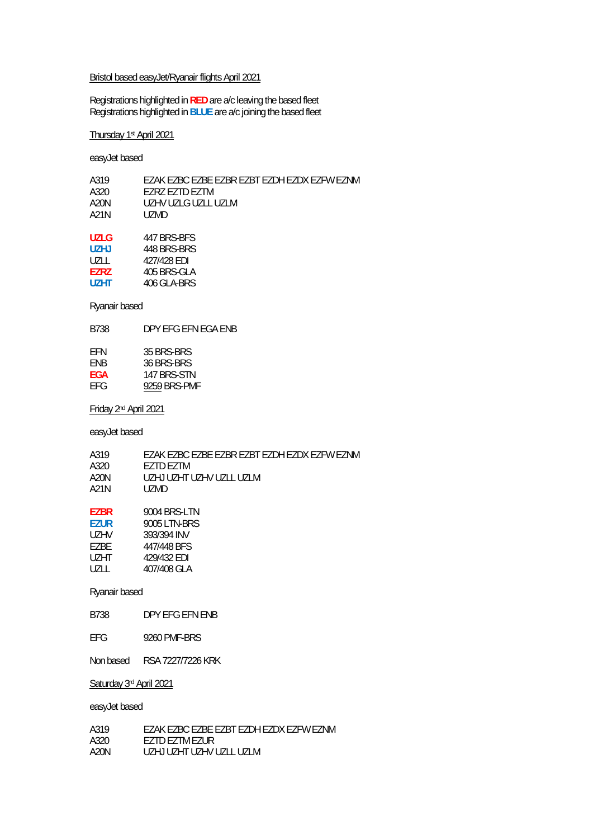#### Bristol based easyJet/Ryanair flights April 2021

Registrations highlighted in **RED** are a/c leaving the based fleet Registrations highlighted in **BLUE** are a/c joining the based fleet

### Thursday 1st April 2021

easyJet based

| A319        | EZAK EZBC EZBE EZBR EZBT EZDH EZDX EZFW EZNM |
|-------------|----------------------------------------------|
| A320        | EZRZ EZTD EZTM                               |
| A20N        | UZHV UZLG UZLL UZLM                          |
| A21N        | UZMD                                         |
|             |                                              |
| <b>UZLG</b> | 447 BRS-BES                                  |
| <b>UZHJ</b> | 448 BRS-BRS                                  |
| UZLL        | 427/428 EDI                                  |
| <b>EZRZ</b> | 405 BRS-GLA                                  |
| <b>UZHT</b> | 406 GLA-BRS                                  |
|             |                                              |

### Ryanair based

B738 DPY EFG EFN EGA ENB

| FFN        | 35 BRS-BRS   |
|------------|--------------|
| <b>FNB</b> | 36 BRS-BRS   |
| FGA        | 147 BRS-STN  |
| FFG        | 9259 BRS-PMF |

Friday 2nd April 2021

easyJet based

| A319        | FZAK FZBC FZBF FZBR FZBT FZDH FZDX FZFW FZNM |
|-------------|----------------------------------------------|
| A320        | F7TD F7TM                                    |
| A20N        | UZHJ UZHT UZHV UZLI 1171 M                   |
| A21N        | UZMD.                                        |
| EZBR        | 9004 BRS-LTN                                 |
| <b>EZUR</b> | 9005 LTN-BRS                                 |

| UZHV  | 393/394 INV |
|-------|-------------|
| F7BF  | 447/448 BFS |
| UZHT. | 429/432 FDI |
| UZLL  | 407/408 GLA |

### Ryanair based

B738 DPY EFG EFN ENB

Non based RSA 7227/7226 KRK

### Saturday 3rd April 2021

| A319 | FZAK FZBC FZBF FZBT FZDH FZDX FZFW FZNM |
|------|-----------------------------------------|
| A320 | <b>FZTD FZTM FZUR</b>                   |
| A20N | UZHJ UZHT UZHV UZI LUZI M               |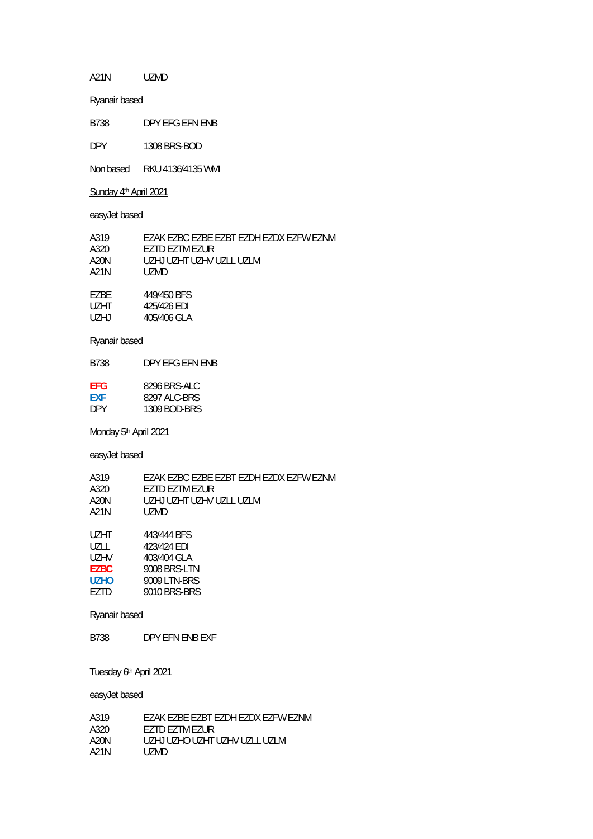A21N UZMD

Ryanair based

B738 DPY EFG EFN ENB

DPY 1308 BRS-BOD

Non based RKU 4136/4135 WMI

Sunday 4<sup>th</sup> April 2021

easyJet based

| A319  | EZAK EZBC EZBE EZBT EZDH EZDX EZFW EZNM |
|-------|-----------------------------------------|
| A320  | F7TD F7TM F7UR                          |
| A20N  | UZHJ UZHT UZHV UZI L UZI M              |
| A21N  | UZMD.                                   |
|       |                                         |
| F7BF  | 449/450 BFS                             |
| UZHT. | 425/426 EDI                             |
| UZHJ  | 405/406 GLA                             |

#### Ryanair based

B738 DPY EFG EFN ENB

| FFG        | 8296 BRS-ALC |
|------------|--------------|
| <b>FXF</b> | 8297 ALC-BRS |
| <b>DPY</b> | 1309 BOD-BRS |

Monday 5<sup>th</sup> April 2021

easyJet based

A319 EZAK EZBC EZBE EZBT EZDH EZDX EZFW EZNM<br>A320 EZTD EZTM EZUR EZTD EZTM EZUR A20N UZHJ UZHT UZHV UZLL UZLM<br>A21N UZMD UZMD UZHT 443/444 BFS<br>UZLL 423/424 EDI UZLL 423/424 EDI<br>UZHV 403/404 GLA 403/404 GLA EZBC 9008 BRS-LTN<br>UZHO 9009 LTN-BRS UZHO 9009 LTN-BRS<br>EZTD 9010 BRS-BRS

Ryanair based

B738 DPY EFN ENB EXF

9010 BRS-BRS

Tuesday 6th April 2021

| A319 | FZAK FZBE FZBT FZDH FZDX FZFW FZNM |
|------|------------------------------------|
| A320 | <b>FZTD FZTM FZUR</b>              |
| A20N | UZHJ UZHO UZHT UZHV UZLL UZLM      |
| A21N | UZMD.                              |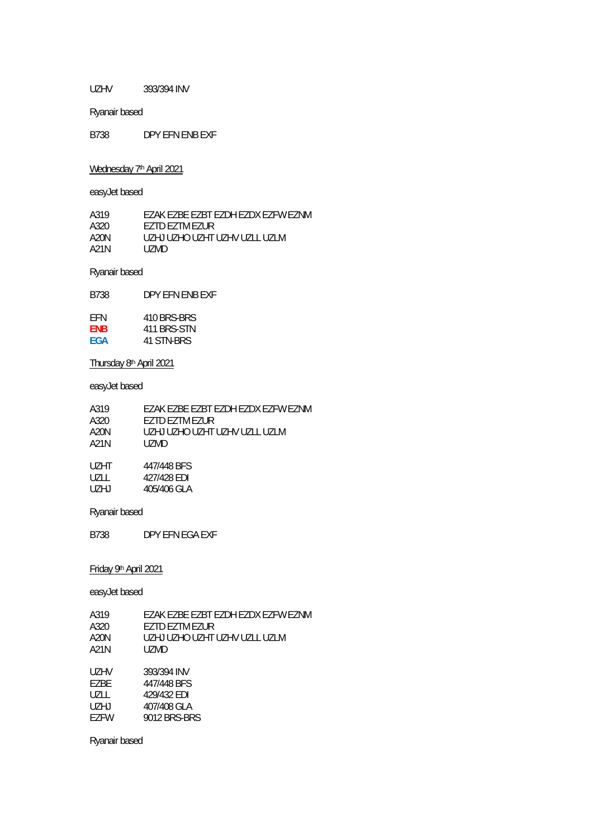UZHV 393/394 INV

Ryanair based

B738 DPY EFN ENB EXF

Wednesday 7<sup>th</sup> April 2021

easyJet based

A319 EZAK EZBE EZBT EZDH EZDX EZFW EZNM<br>A320 EZTD EZTM EZUR A320 EZTD EZTM EZUR<br>A20N UZHJ UZHO UZHT A20N UZHJ UZHO UZHT UZHV UZLL UZLM<br>A21N UZMD UZMD

Ryanair based

B738 DPY EFN ENB EXF

| FFN        | 410 BRS-BRS |
|------------|-------------|
| <b>FNB</b> | 411 BRS-STN |
| FGA        | 41 STN-BRS  |

Thursday 8th April 2021

easyJet based

| A319 | FZAK FZBE FZBT FZDH FZDX FZFW FZNM |
|------|------------------------------------|
| A320 | <b>FZTD FZTM FZUR</b>              |
| A20N | UZHJ UZHO UZHT UZHV UZLL UZLM      |
| A21N | UZMD.                              |
| UZHT | 447/448 BFS                        |
| UZLL | 427/428 FDI                        |
| UZHJ | 405/406 GLA                        |

Ryanair based

B738 DPY EFN EGA EXF

Friday 9th April 2021

easyJet based

| A319 | FZAK FZBE FZBT FZDH FZDX FZFW FZNM |
|------|------------------------------------|
| A320 | EZTD EZTM EZUR                     |
| A20N | UZHJ UZHO UZHT UZHV UZLL UZLM      |
| A21N | UZMD                               |
| UZHV | 393/394 INV                        |
| F7BF | 447/448 BFS                        |
| UZLL | 429/432 EDI                        |
| UZHJ | 407/408 GLA                        |
| F7FW | 9012 BRS-BRS                       |
|      |                                    |

Ryanair based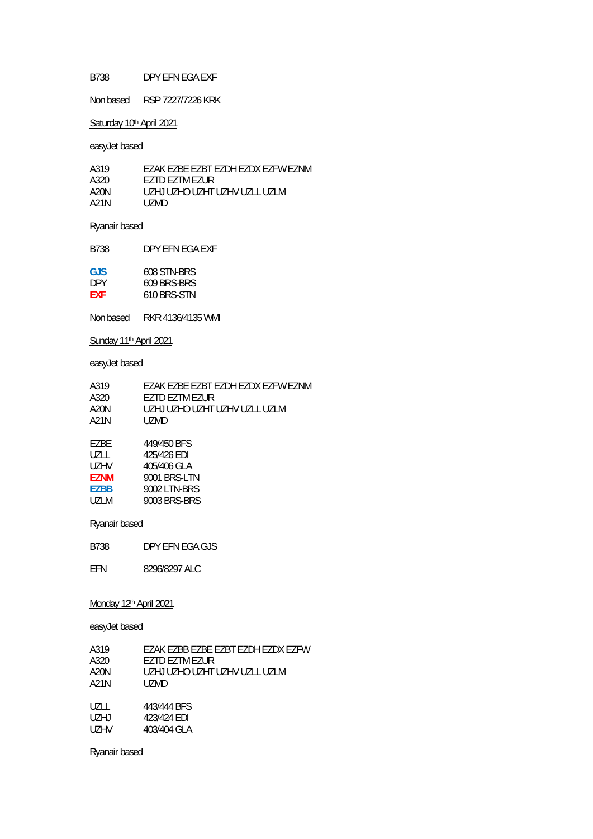### B738 DPY EFN EGA EXF

Non based RSP 7227/7226 KRK

### Saturday 10<sup>th</sup> April 2021

easyJet based

| A319 | FZAK FZBE FZBT FZDH FZDX FZFW FZNM |
|------|------------------------------------|
| A320 | <b>FZTD FZTM FZUR</b>              |
| A20N | UZHJ UZHO UZHT UZHV UZLL UZLM      |
| A21N | UZMD.                              |

# Ryanair based

B738 DPY EFN EGA EXF

| GJS        | 608 STN-BRS |
|------------|-------------|
| DPY.       | 609 BRS-BRS |
| <b>FXF</b> | 610 BRS-STN |

Non based RKR 4136/4135 WMI

## Sunday 11<sup>th</sup> April 2021

## easyJet based

| A319        | FZAK FZBE FZBT FZDH FZDX FZFW FZNM |
|-------------|------------------------------------|
| A320        | EZTD EZTM EZUR                     |
| A20N        | UZHJ UZHO UZHT UZHV UZLL UZLM      |
| A21N        | UZMD.                              |
| F7BF        | 449/450 BFS                        |
| U7LL        | 425/426 EDI                        |
| UZHV        | 405/406 GLA                        |
| <b>EZNM</b> | 9001 BRS-LTN                       |
| <b>EZBB</b> | 9002 LTN-BRS                       |
| U71 M       | 9003 BRS-BRS                       |

### Ryanair based

B738 DPY EFN EGA GJS

EFN 8296/8297 ALC

### Monday 12<sup>th</sup> April 2021

easyJet based

| A319 | FZAK FZBB FZBF FZBT FZDH FZDX FZFW |
|------|------------------------------------|
| A320 | F7TD F7TM F7UR                     |
| A20N | UZHJ UZHO UZHT UZHV UZLL UZLM      |
| A21N | UZMD                               |
|      |                                    |
| UZLL | 443/444 BFS                        |
| UZHJ | 423/424 EDI                        |
| UZHV | 403/404 GLA                        |

Ryanair based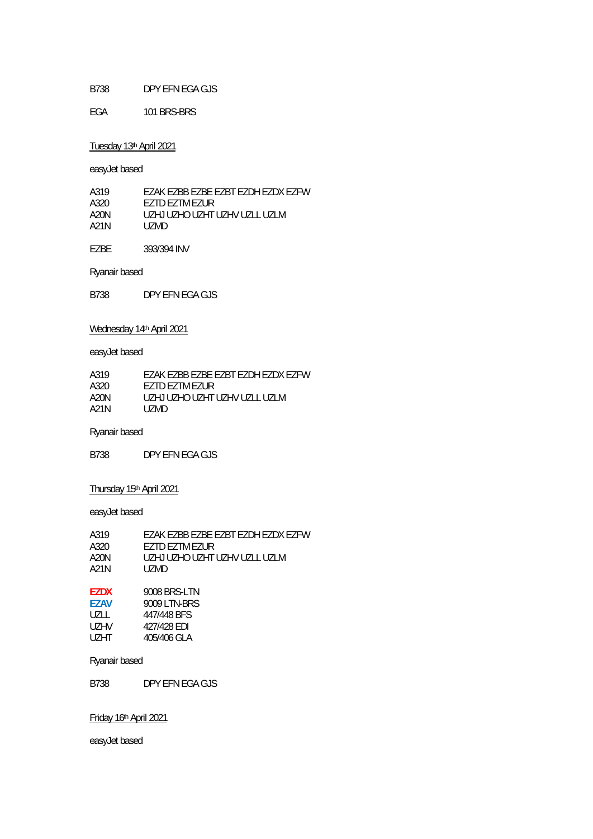### B738 DPY EFN EGA GJS

EGA 101 BRS-BRS

### Tuesday 13th April 2021

easyJet based

| EZAK EZBB EZBE EZBT EZDH EZDX FZFW |
|------------------------------------|
| <b>FZTD FZTM FZUR</b>              |
| UZHJ UZHO UZHT UZHV UZLL UZLM      |
| UZMD.                              |
|                                    |

EZBE 393/394 INV

Ryanair based

B738 DPY EFN EGA GJS

## Wednesday 14<sup>th</sup> April 2021

easyJet based

| FZAK FZBB FZBF FZBT FZDH FZDX FZFW |
|------------------------------------|
| <b>FZTD FZTM FZUR</b>              |
| UZHJ UZHO UZHT UZHV UZI L UZI M    |
| UZMD.                              |
|                                    |

### Ryanair based

B738 DPY EFN EGA GJS

## Thursday 15<sup>th</sup> April 2021

easyJet based

| A319         | FZAK FZBB FZBF FZBT FZDH FZDX FZFW       |
|--------------|------------------------------------------|
| A320         | <b>FZTD FZTM FZUR</b>                    |
| A20N<br>A21N | UZHJ UZHO UZHT UZHV UZI L UZI M<br>UZMD. |
| <b>F7NV</b>  | 0000 DDC I TN                            |

| F/DX.       | YUU8 BRS-LIN |
|-------------|--------------|
| <b>F7AV</b> | 9009 LTN-BRS |
| UZLL.       | 447/448 BFS  |
| UZHV        | 427/428 EDI  |
| UZHT        | 405/406 GLA  |

### Ryanair based

B738 DPY EFN EGA GJS

## Friday 16th April 2021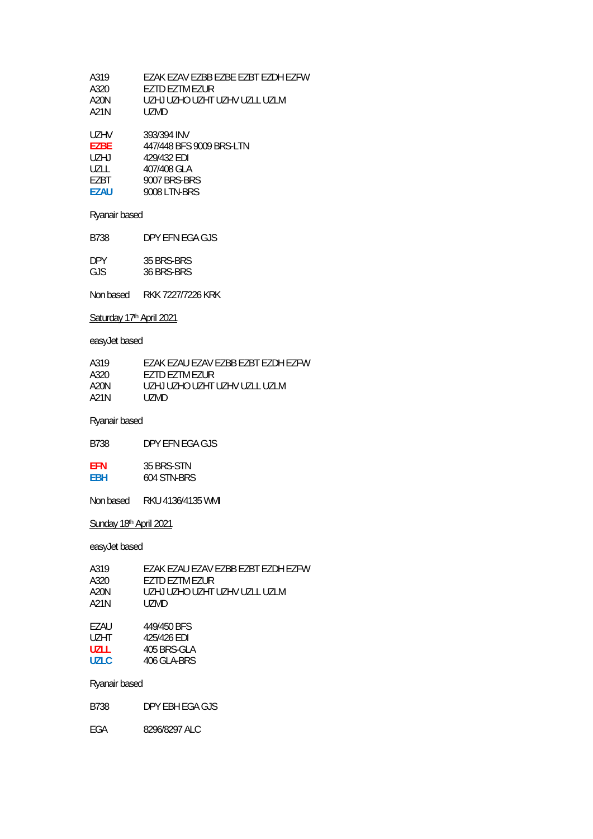| A319 | FZAK FZAV FZBB FZBF FZBT FZDH FZFW |
|------|------------------------------------|
| A320 | F7TD F7TM F7UR                     |
| A20N | UZHJ UZHO UZHT UZHV UZI L UZI M    |
| A21N | UZMD.                              |

| UZHV  | 393/394 INV              |
|-------|--------------------------|
| F7BF  | 447/448 BFS 9009 BRS-LTN |
| UZHJ  | 429/432 FDI              |
| UZLL. | 407/408 GLA              |
| F7BT. | 9007 BRS-BRS             |
| F7AU  | 9008 LTN-BRS             |

Ryanair based

B738 DPY EFN EGA GJS

| <b>DPY</b> | 35 BRS-BRS |
|------------|------------|
| GJS        | 36 BRS-BRS |

Non based RKK 7227/7226 KRK

## Saturday 17<sup>th</sup> April 2021

easyJet based

| A319 | FZAK FZAU FZAV FZBB FZBT FZDH FZFW |
|------|------------------------------------|
| A320 | <b>FZTD FZTM FZUR</b>              |
| A20N | UZHJ UZHO UZHT UZHV UZI LUZI M     |
| A21N | UZMD.                              |

Ryanair based

B738 DPY EFN EGA GJS

| FFN        | 35 BRS-STN  |
|------------|-------------|
| <b>FBH</b> | 604 STN-BRS |

Non based RKU 4136/4135 WMI

## Sunday 18<sup>th</sup> April 2021

easyJet based

| A319          | EZAK EZAU EZAV EZBB EZBT EZDH F7FW |
|---------------|------------------------------------|
| A320          | F7TD F7TM F7UR                     |
| A20N          | UZHJ UZHO UZHT UZHV UZLL UZLM      |
| A21N          | UZMD.                              |
|               |                                    |
| F7AU.         | 449/450 BFS                        |
| $1.1 - 1.1 -$ | 1071101 F01                        |

| UZHT  | 425/426 EDI |
|-------|-------------|
| UZLL  | 405 BRS-GLA |
| UZLC. | 406 GLA-BRS |

Ryanair based

B738 DPY EBH EGA GJS

EGA 8296/8297 ALC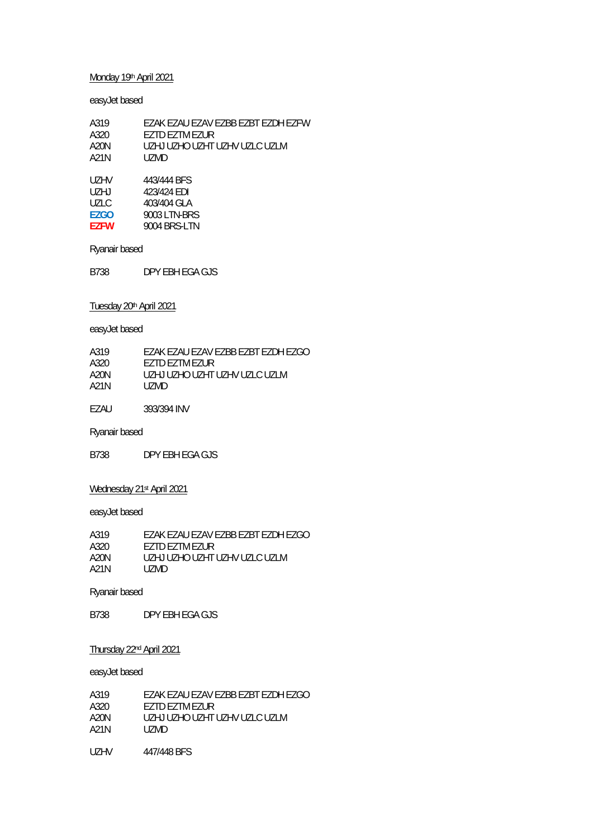### Monday 19th April 2021

### easyJet based

| A319  | FZAK FZAU FZAV FZBB FZBT FZDH FZFW |
|-------|------------------------------------|
| A320  | <b>FZTD FZTM FZUR</b>              |
| A20N  | UZHJ UZHO UZHT UZHV UZI C UZI M    |
| A21N  | UZMD.                              |
|       |                                    |
| UZHV. | 443/444 BFS                        |
| UZHJ  | 423/424 EDI                        |

| UZLC.       | 403/404 GLA  |
|-------------|--------------|
| <b>FZGO</b> | 9003 LTN-BRS |
| <b>F7FW</b> | 9004 BRS-LTN |

Ryanair based

B738 DPY EBH EGA GJS

## Tuesday 20th April 2021

easyJet based

| A319 | FZAK FZAU FZAV FZBB FZBT FZDH FZGO |
|------|------------------------------------|
| A320 | F7TD F7TM F7UR                     |
| A20N | UZHJ UZHO UZHT UZHV UZLC UZLM      |
| A21N | UZMD.                              |
|      |                                    |

EZAU 393/394 INV

Ryanair based

B738 DPY EBH EGA GJS

# Wednesday 21<sup>st</sup> April 2021

easyJet based

| A319 | EZAK EZAU EZAV EZBB EZBT EZDH EZGO |
|------|------------------------------------|
| A320 | <b>FZTD FZTM FZUR</b>              |
| A20N | UZHJ UZHO UZHT UZHV UZI C UZI M    |
| A21N | UZMD.                              |

### Ryanair based

B738 DPY EBH EGA GJS

### Thursday 22nd April 2021

| A319 | FZAK FZAU FZAV FZBB FZBT FZDH FZGO |
|------|------------------------------------|
| A320 | F7TD F7TM F7UR                     |
| A20N | UZHJ UZHO UZHT UZHV UZI C UZI M    |
| A21N | UZMD.                              |
|      |                                    |
| UZHV | 447/448 BFS                        |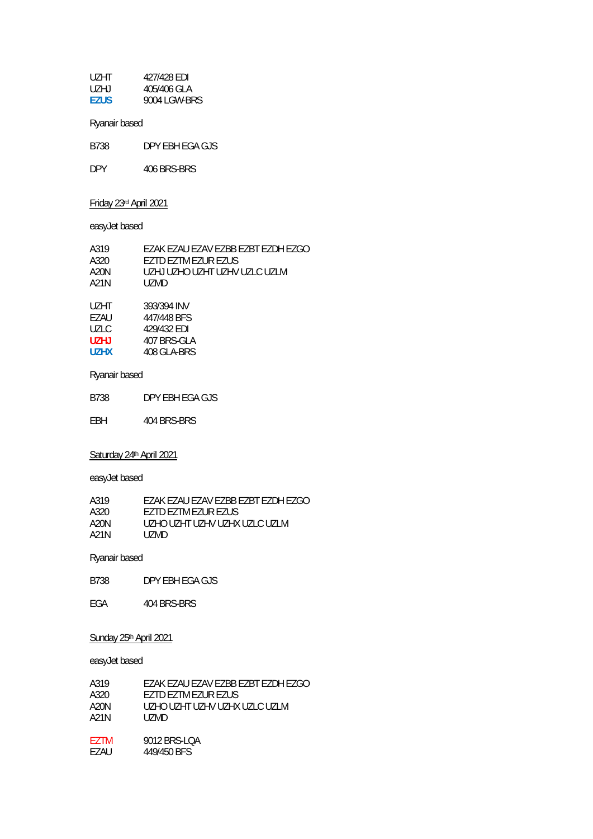| UZHT        | 427/428 EDI  |
|-------------|--------------|
| UZHJ        | 405/406 GLA  |
| <b>EZUS</b> | 9004 LGW-BRS |

Ryanair based

B738 DPY EBH EGA GJS

DPY 406 BRS-BRS

## Friday 23rd April 2021

easyJet based

| A319 | FZAK FZAU FZAV FZBB FZBT FZDH FZGO |
|------|------------------------------------|
| A320 | <b>FZTD FZTM FZUR FZUS</b>         |
| A20N | UZHJ UZHO UZHT UZHV UZI C UZI M    |
| A21N | UZMD.                              |
|      |                                    |

| UZHT. | 393/394 INV |
|-------|-------------|
| F7AU  | 447/448 BFS |
| UZLC. | 429/432 FDI |
| U7H J | 407 BRS-GLA |
| U7HX  | 408 GLA-BRS |

## Ryanair based

B738 DPY EBH EGA GJS

EBH 404 BRS-BRS

## Saturday 24<sup>th</sup> April 2021

easyJet based

| A319 | EZAK EZAU EZAV EZBB EZBT EZDH EZGO |
|------|------------------------------------|
| A320 | EZTD EZTM EZUR EZUS                |
| A20N | UZHO UZHT UZHV UZHX UZI C UZI M    |
| A21N | UZMD.                              |

## Ryanair based

B738 DPY EBH EGA GJS

EGA 404 BRS-BRS

### Sunday 25<sup>th</sup> April 2021

| A319  | EZAK EZAU EZAV EZBB EZBT EZDH EZGO |
|-------|------------------------------------|
| A320  | FZTD FZTM FZUR FZUS                |
| A20N  | UZHO UZHT UZHV UZHX UZLC UZLM      |
| A21N  | UZMD.                              |
|       |                                    |
| F7TM  | 9012 BRS-LOA                       |
| F7AU. | 449/450 BFS                        |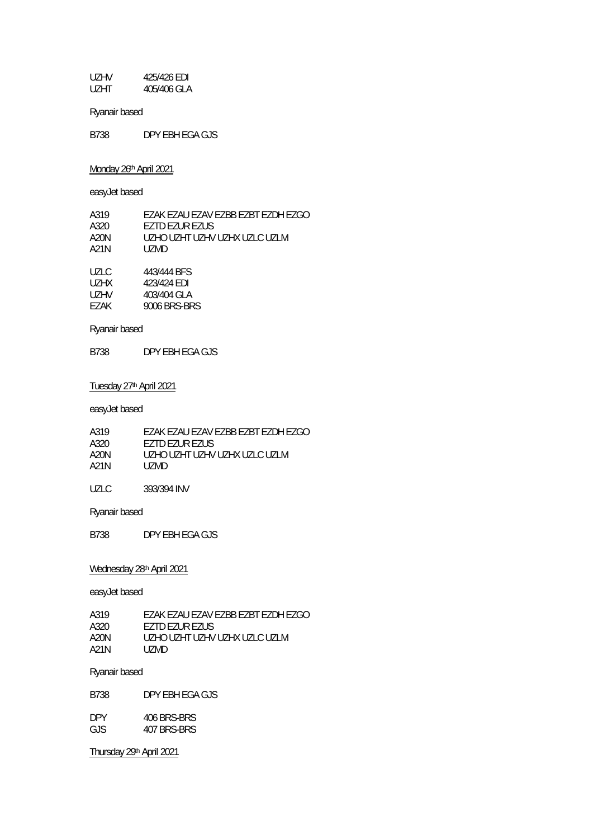UZHV 425/426 EDI 405/406 GLA

Ryanair based

B738 DPY EBH EGA GJS

Monday 26<sup>th</sup> April 2021

easyJet based

| A319 | FZAK FZAU FZAV FZBB FZBT FZDH FZGO |
|------|------------------------------------|
| A320 | EZTD EZUR EZUS                     |
| A20N | UZHO UZHT UZHV UZHX UZI C UZI M    |
| A21N | UZMD.                              |
|      |                                    |

| UZLC. | 443/444 BFS  |
|-------|--------------|
| UZHX. | 423/424 FDI  |
| UZHV  | 403/404 GLA  |
| F7AK  | 9006 BRS-BRS |
|       |              |

Ryanair based

B738 DPY EBH EGA GJS

#### Tuesday 27<sup>th</sup> April 2021

easyJet based

| A319 | EZAK EZAU EZAV EZBB EZBT EZDH EZGO |
|------|------------------------------------|
| A320 | <b>FZTD FZUR FZUS</b>              |
| A20N | UZHO UZHT UZHV UZHX UZI C UZI M    |
| A21N | UZMD.                              |
|      |                                    |

UZLC 393/394 INV

Ryanair based

B738 DPY EBH EGA GJS

### Wednesday 28<sup>th</sup> April 2021

easyJet based

| A319 | EZAK EZAU EZAV EZBB EZBT EZDH EZGO |
|------|------------------------------------|
| A320 | <b>FZTD FZUR FZUS</b>              |
| A20N | UZHO UZHT UZHV UZHX UZI C UZI M    |
| A21N | UZMD.                              |

Ryanair based

B738 DPY EBH EGA GJS

| <b>DPY</b> | 406 BRS-BRS |
|------------|-------------|
| GJS.       | 407 BRS-BRS |

Thursday 29th April 2021